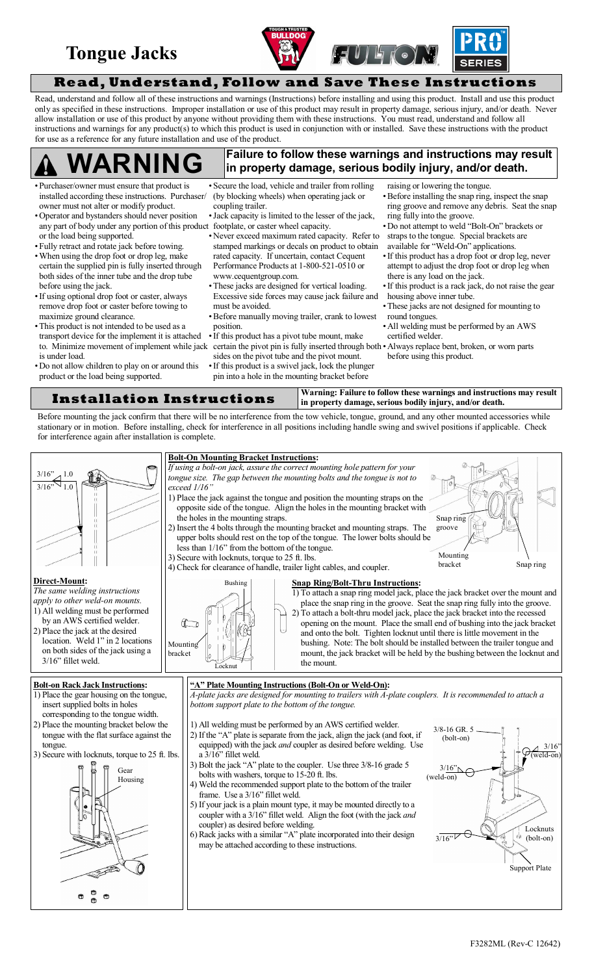## **Tongue Jacks**





**Read, Understand, Follow and Save These Instructions**

Read, understand and follow all of these instructions and warnings (Instructions) before installing and using this product. Install and use this product only as specified in these instructions. Improper installation or use of this product may result in property damage, serious injury, and/or death. Never allow installation or use of this product by anyone without providing them with these instructions. You must read, understand and follow all instructions and warnings for any product(s) to which this product is used in conjunction with or installed. Save these instructions with the product for use as a reference for any future installation and use of the product.

#### **Failure to follow these warnings and instructions may result in property damage, serious bodily injury, and/or death. WARNING**

- Purchaser/owner must ensure that product is installed according these instructions. Purchaser/ owner must not alter or modify product.
- Operator and bystanders should never position any part of body under any portion of this product footplate, or caster wheel capacity. or the load being supported.
- Fully retract and rotate jack before towing. When using the drop foot or drop leg, make certain the supplied pin is fully inserted through both sides of the inner tube and the drop tube before using the jack.
- If using optional drop foot or caster, always remove drop foot or caster before towing to maximize ground clearance.
- This product is not intended to be used as a transport device for the implement it is attached is under load.
- Do not allow children to play on or around this product or the load being supported.
- Secure the load, vehicle and trailer from rolling (by blocking wheels) when operating jack or coupling trailer.
- Jack capacity is limited to the lesser of the jack,
- Never exceed maximum rated capacity. Refer to stamped markings or decals on product to obtain rated capacity. If uncertain, contact Cequent Performance Products at 1-800-521-0510 or [www.cequentgroup.com.](http://www.cequentgroup.com.)
- These jacks are designed for vertical loading. Excessive side forces may cause jack failure and must be avoided.
- Before manually moving trailer, crank to lowest position.
- to. Minimize movement of implement while jack certain the pivot pin is fully inserted through both Always replace bent, broken, or worn parts If this product has a pivot tube mount, make sides on the pivot tube and the pivot mount. If this product is a swivel jack, lock the plunger pin into a hole in the mounting bracket before
- raising or lowering the tongue.
- Before installing the snap ring, inspect the snap ring groove and remove any debris. Seat the snap ring fully into the groove.
- Do not attempt to weld "Bolt-On" brackets or straps to the tongue. Special brackets are available for "Weld-On" applications.
- If this product has a drop foot or drop leg, never attempt to adjust the drop foot or drop leg when there is any load on the jack.
- If this product is a rack jack, do not raise the gear housing above inner tube.
- These jacks are not designed for mounting to round tongues.
- All welding must be performed by an AWS certified welder.
- before using this product.

**Installation Instructions** Warning: Failure to follow these warnings and instructions may result **in property damage, serious bodily injury, and/or death.**

Before mounting the jack confirm that there will be no interference from the tow vehicle, tongue, ground, and any other mounted accessories while stationary or in motion. Before installing, check for interference in all positions including handle swing and swivel positions if applicable. Check for interference again after installation is complete.

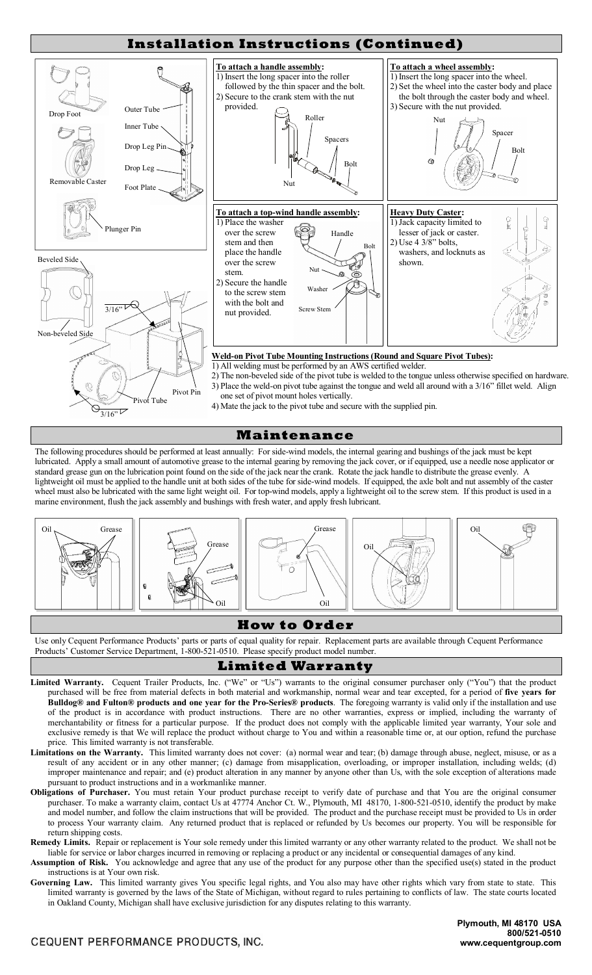

### **Maintenance**

The following procedures should be performed at least annually: For side-wind models, the internal gearing and bushings of the jack must be kept lubricated. Apply a small amount of automotive grease to the internal gearing by removing the jack cover, or if equipped, use a needle nose applicator or standard grease gun on the lubrication point found on the side of the jack near the crank. Rotate the jack handle to distribute the grease evenly. A lightweight oil must be applied to the handle unit at both sides of the tube for side-wind models. If equipped, the axle bolt and nut assembly of the caster wheel must also be lubricated with the same light weight oil. For top-wind models, apply a lightweight oil to the screw stem. If this product is used in a marine environment, flush the jack assembly and bushings with fresh water, and apply fresh lubricant.



## **How to Order**

Use only Cequent Performance Products' parts or parts of equal quality for repair. Replacement parts are available through Cequent Performance Products' Customer Service Department, 1-800-521-0510. Please specify product model number.

## **Limited Warranty**

- Limited Warranty. Cequent Trailer Products, Inc. ("We" or "Us") warrants to the original consumer purchaser only ("You") that the product purchased will be free from material defects in both material and workmanship, normal wear and tear excepted, for a period of **five years for Bulldog® and Fulton® products and one year for the Pro-Series® products**. The foregoing warranty is valid only if the installation and use of the product is in accordance with product instructions. There are no other warranties, express or implied, including the warranty of merchantability or fitness for a particular purpose. If the product does not comply with the applicable limited year warranty, Your sole and exclusive remedy is that We will replace the product without charge to You and within a reasonable time or, at our option, refund the purchase price. This limited warranty is not transferable.
- Limitations on the Warranty. This limited warranty does not cover: (a) normal wear and tear; (b) damage through abuse, neglect, misuse, or as a result of any accident or in any other manner; (c) damage from misapplication, overloading, or improper installation, including welds; (d) improper maintenance and repair; and (e) product alteration in any manner by anyone other than Us, with the sole exception of alterations made pursuant to product instructions and in a workmanlike manner.
- **Obligations of Purchaser.** You must retain Your product purchase receipt to verify date of purchase and that You are the original consumer purchaser. To make a warranty claim, contact Us at 47774 Anchor Ct. W., Plymouth, MI 48170, 1-800-521-0510, identify the product by make and model number, and follow the claim instructions that will be provided. The product and the purchase receipt must be provided to Us in order to process Your warranty claim. Any returned product that is replaced or refunded by Us becomes our property. You will be responsible for return shipping costs.
- **Remedy Limits.** Repair or replacement is Your sole remedy under this limited warranty or any other warranty related to the product. We shall not be liable for service or labor charges incurred in removing or replacing a product or any incidental or consequential damages of any kind.
- **Assumption of Risk.** You acknowledge and agree that any use of the product for any purpose other than the specified use(s) stated in the product instructions is at Your own risk.
- **Governing Law.** This limited warranty gives You specific legal rights, and You also may have other rights which vary from state to state. This limited warranty is governed by the laws of the State of Michigan, without regard to rules pertaining to conflicts of law. The state courts located in Oakland County, Michigan shall have exclusive jurisdiction for any disputes relating to this warranty.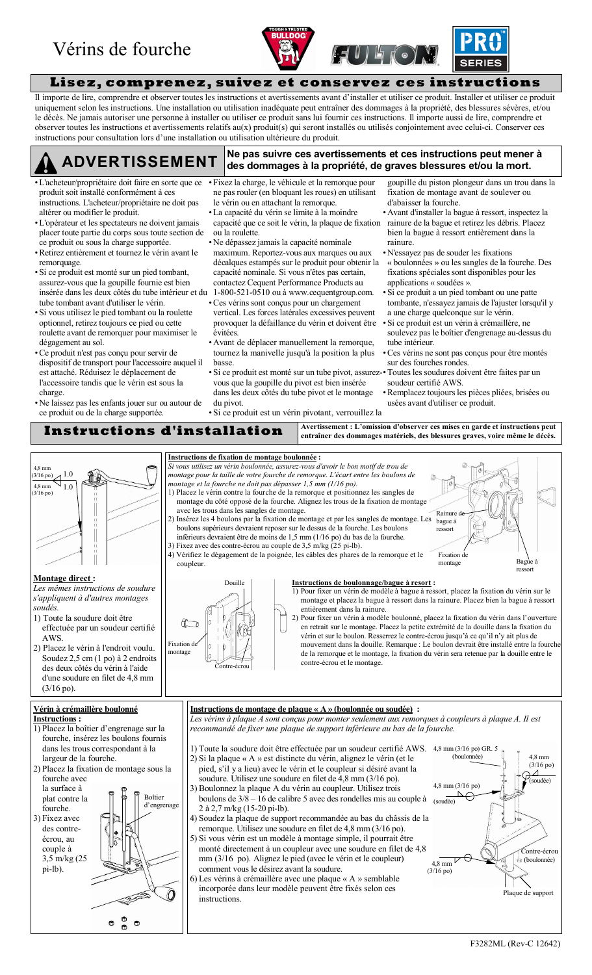## Vérins de fourche





**Lisez, comprenez, suivez et conservez ces instructions**

Il importe de lire, comprendre et observer toutes les instructions et avertissements avant d'installer et utiliser ce produit. Installer et utiliser ce produit uniquement selon les instructions. Une installation ou utilisation inadéquate peut entraîner des dommages à la propriété, des blessures sévères, et/ou le décès. Ne jamais autoriser une personne à installer ou utiliser ce produit sans lui fournir ces instructions. Il importe aussi de lire, comprendre et observer toutes les instructions et avertissements relatifs au(x) produit(s) qui seront installés ou utilisés conjointement avec celui-ci. Conserver ces instructions pour consultation lors d'une installation ou utilisation ultérieure du produit.

# **Ne pas suivre ces avertissements et ces instructions peut mener à ADVERTISSEMENT des dommages à la propriété, de graves blessures et/ou la mort.**

- L'acheteur/propriétaire doit faire en sorte que ce produit soit installé conformément à ces instructions. L'acheteur/propriétaire ne doit pas altérer ou modifier le produit.
- L'opérateur et les spectateurs ne doivent jamais placer toute partie du corps sous toute section de ce produit ou sous la charge supportée.
- Retirez entièrement et tournez le vérin avant le remorquage.
- Si ce produit est monté sur un pied tombant, assurez-vous que la goupille fournie est bien insérée dans les deux côtés du tube intérieur et du tube tombant avant d'utiliser le vérin.
- Si vous utilisez le pied tombant ou la roulette optionnel, retirez toujours ce pied ou cette roulette avant de remorquer pour maximiser le dégagement au sol.
- Ce produit n'est pas conçu pour servir de dispositif de transport pour l'accessoire auquel il est attaché. Réduisez le déplacement de l'accessoire tandis que le vérin est sous la charge.
- Ne laissez pas les enfants jouer sur ou autour de ce produit ou de la charge supportée.
- Fixez la charge, le véhicule et la remorque pour ne pas rouler (en bloquant les roues) en utilisant le vérin ou en attachant la remorque.
- La capacité du vérin se limite à la moindre capacité que ce soit le vérin, la plaque de fixation rainure de la bague et retirez les débris. Placez ou la roulette.
- Ne dépassez jamais la capacité nominale maximum. Reportez-vous aux marques ou aux décalques estampés sur le produit pour obtenir la capacité nominale. Si vous n'êtes pas certain, contactez Cequent Performance Products au
- 1-800-521-0510 ou à [www.cequentgroup.com.](http://www.cequentgroup.com.) Ces vérins sont conçus pour un chargement vertical. Les forces latérales excessives peuvent provoquer la défaillance du vérin et doivent être évitées.
- Avant de déplacer manuellement la remorque, tournez la manivelle jusqu'à la position la plus basse.
- Si ce produit est monté sur un tube pivot, assurezvous que la goupille du pivot est bien insérée dans les deux côtés du tube pivot et le montage du pivot.
- goupille du piston plongeur dans un trou dans la fixation de montage avant de soulever ou d'abaisser la fourche.
- Avant d'installer la bague à ressort, inspectez la bien la bague à ressort entièrement dans la rainure.
- N'essayez pas de souder les fixations « boulonnées » ou les sangles de la fourche. Des fixations spéciales sont disponibles pour les applications « soudées ».
- Si ce produit a un pied tombant ou une patte tombante, n'essayez jamais de l'ajuster lorsqu'il y a une charge quelconque sur le vérin.
- Si ce produit est un vérin à crémaillère, ne soulevez pas le boîtier d'engrenage au-dessus du tube intérieur.
- Ces vérins ne sont pas conçus pour être montés sur des fourches rondes.
- Toutes les soudures doivent être faites par un soudeur certifié AWS.
- Remplacez toujours les pièces pliées, brisées ou usées avant d'utiliser ce produit.

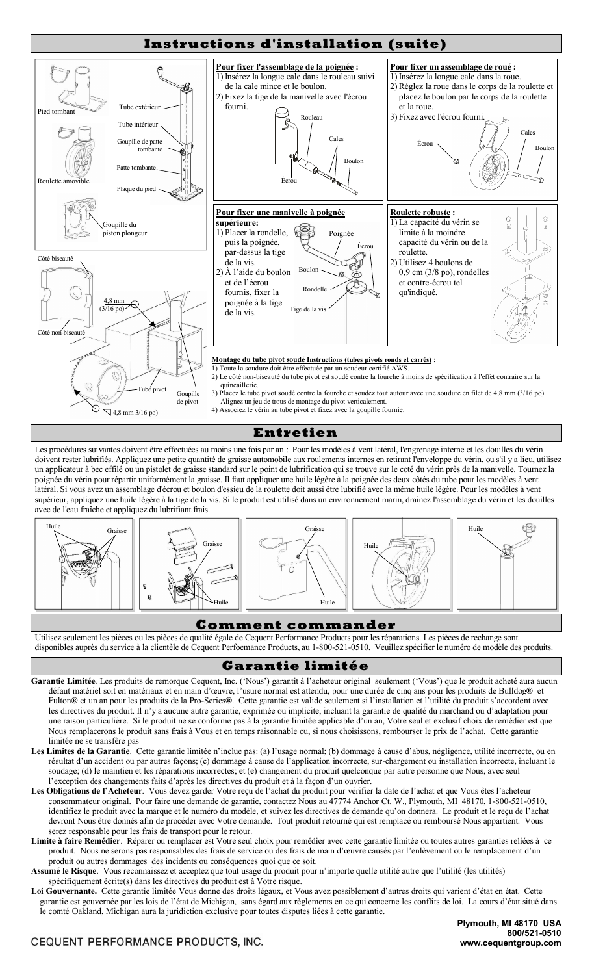

## **Entretien**

Les procédures suivantes doivent être effectuées au moins une fois par an : Pour les modèles à vent latéral, l'engrenage interne et les douilles du vérin doivent rester lubrifiés. Appliquez une petite quantité de graisse automobile aux roulements internes en retirant l'enveloppe du vérin, ou s'il y a lieu, utilisez un applicateur à bec effilé ou un pistolet de graisse standard sur le point de lubrification qui se trouve sur le coté du vérin près de la manivelle. Tournez la poignée du vérin pour répartir uniformément la graisse. Il faut appliquer une huile légère à la poignée des deux côtés du tube pour les modèles à vent latéral. Si vous avez un assemblage d'écrou et boulon d'essieu de la roulette doit aussi être lubrifié avec la même huile légère. Pour les modèles à vent supérieur, appliquez une huile légère à la tige de la vis. Si le produit est utilisé dans un environnement marin, drainez l'assemblage du vérin et les douilles avec de l'eau fraîche et appliquez du lubrifiant frais.



## **Comment commander**

Utilisez seulement les pièces ou les pièces de qualité égale de Cequent Performance Products pour les réparations. Les pièces de rechange sont disponibles auprès du service à la clientèle de Cequent Perfoemance Products, au 1-800-521-0510. Veuillez spécifier le numéro de modèle des produits.

## **Garantie limitée**

- Garantie Limitée. Les produits de remorque Cequent, Inc. ('Nous') garantit à l'acheteur original seulement ('Vous') que le produit acheté aura aucun défaut matériel soit en matériaux et en main d'œuvre, l'usure normal est attendu, pour une durée de cinq ans pour les produits de Bulldog® et Fulton® et un an pour les produits de la Pro-Series®. Cette garantie est valide seulement si l'installation et l'utilité du produit s'accordent avec les directives du produit. Il n'y a aucune autre garantie, exprimée ou implicite, incluant la garantie de qualité du marchand ou d'adaptation pour une raison particulière. Si le produit ne se conforme pas à la garantie limitée applicable d'un an, Votre seul et exclusif choix de remédier est que Nous remplacerons le produit sans frais à Vous et en temps raisonnable ou, si nous choisissons, rembourser le prix de l'achat. Cette garantie limitée ne se transfère pas
- Les Limites de la Garantie. Cette garantie limitée n'inclue pas: (a) l'usage normal; (b) dommage à cause d'abus, négligence, utilité incorrecte, ou en résultat d'un accident ou par autres façons; (c) dommage à cause de l'application incorrecte, sur-chargement ou installation incorrecte, incluant le soudage; (d) le maintien et les réparations incorrectes; et (e) changement du produit quelconque par autre personne que Nous, avec seul l'exception des changements faits d'après les directives du produit et à la façon d'un ouvrier.
- Les Obligations de l'Acheteur. Vous devez garder Votre reçu de l'achat du produit pour vérifier la date de l'achat et que Vous êtes l'acheteur consommateur original. Pour faire une demande de garantie, contactez Nous au 47774 Anchor Ct. W., Plymouth, MI 48170, 1-800-521-0510, identifiez le produit avec la marque et le numéro du modèle, et suivez les directives de demande qu'on donnera. Le produit et le reçu de l'achat devront Nous être donnés afin de procéder avec Votre demande. Tout produit retourné qui est remplacé ou remboursé Nous appartient. Vous serez responsable pour les frais de transport pour le retour.
- **Limite à faire Remédier**. Réparer ou remplacer est Votre seul choix pour remédier avec cette garantie limitée ou toutes autres garanties reliées à ce produit. Nous ne serons pas responsables des frais de service ou des frais de main d'œuvre causés par l'enlèvement ou le remplacement d'un produit ou autres dommages des incidents ou conséquences quoi que ce soit.
- Assumé le Risque. Vous reconnaissez et acceptez que tout usage du produit pour n'importe quelle utilité autre que l'utilité (les utilités) spécifiquement écrite(s) dans les directives du produit est à Votre risque.
- Loi Gouvernante. Cette garantie limitée Vous donne des droits légaux, et Vous avez possiblement d'autres droits qui varient d'état en état. Cette garantie est gouvernée par les lois de l'état de Michigan, sans égard aux règlements en ce qui concerne les conflits de loi. La cours d'état situé dans le comté Oakland, Michigan aura la juridiction exclusive pour toutes disputes liées à cette garantie.

## CEQUENT PERFORMANCE PRODUCTS, INC.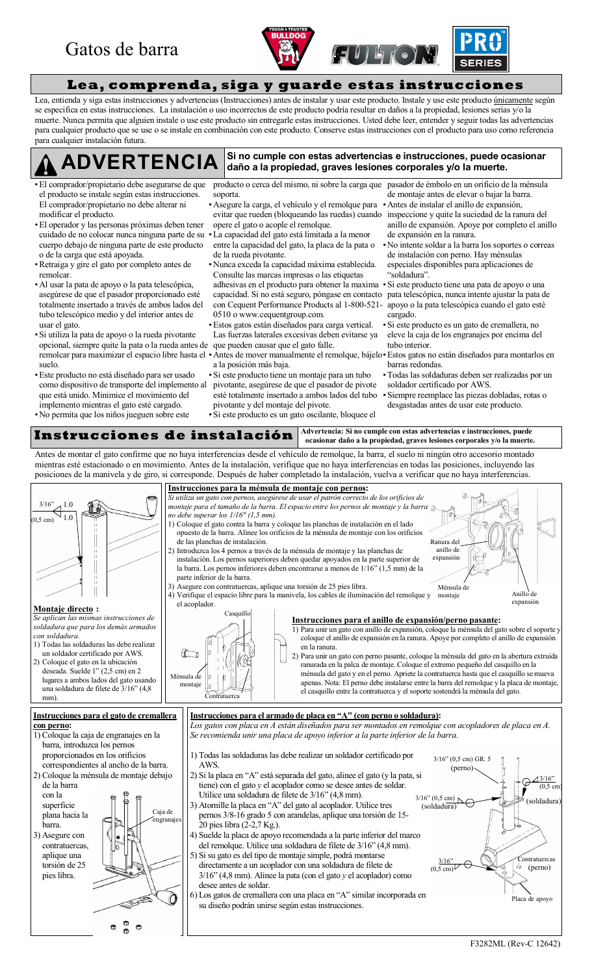## Gatos de barra





**Lea, comprenda, siga y guarde estas instrucciones**

Lea, entienda y siga estas instrucciones y advertencias (Instrucciones) antes de instalar y usar este producto. Instale y use este producto únicamente según se especifica en estas instrucciones. La instalación o uso incorrectos de este producto podría resultar en daños a la propiedad, lesiones serias y/o la muerte. Nunca permita que alguien instale o use este producto sin entregarle estas instrucciones. Usted debe leer, entender y seguir todas las advertencias para cualquier producto que se use o se instale en combinación con este producto. Conserve estas instrucciones con el producto para uso como referencia para cualquier instalación futura.

#### **Si no cumple con estas advertencias e instrucciones, puede ocasionar daño a la propiedad, graves lesiones corporales y/o la muerte. ADVERTENCIA**

- El comprador/propietario debe asegurarse de que el producto se instale según estas instrucciones. El comprador/propietario no debe alterar ni modificar el producto.
- El operador y las personas próximas deben tener cuidado de no colocar nunca ninguna parte de su cuerpo debajo de ninguna parte de este producto o de la carga que está apoyada.
- Retraiga y gire el gato por completo antes de remolcar.
- Al usar la pata de apoyo o la pata telescópica, asegúrese de que el pasador proporcionado esté totalmente insertado a través de ambos lados del tubo telescópico medio y del interior antes de usar el gato.
- Si utiliza la pata de apoyo o la rueda pivotante opcional, siempre quite la pata o la rueda antes de que pueden causar que el gato falle. suelo.
- Este producto no está diseñado para ser usado como dispositivo de transporte del implemento al que está unido. Minimice el movimiento del implemento mientras el gato esté cargado.
- No permita que los niños jueguen sobre este

producto o cerca del mismo, ni sobre la carga que pasador de émbolo en un orificio de la ménsula soporta.

- Asegure la carga, el vehículo y el remolque para evitar que rueden (bloqueando las ruedas) cuando opere el gato o acople el remolque.
- La capacidad del gato está limitada a la menor entre la capacidad del gato, la placa de la pata o de la rueda pivotante.
- Nunca exceda la capacidad máxima establecida. Consulte las marcas impresas o las etiquetas adhesivas en el producto para obtener la maxima capacidad. Si no está seguro, póngase en contacto pata telescópica, nunca intente ajustar la pata de con Cequent Performance Products al 1-800-521- 0510 o [www.cequentgroup.com.](http://www.cequentgroup.com.)
- Estos gatos están diseñados para carga vertical. Las fuerzas laterales excesivas deben evitarse ya
- remolcar para maximizar el espacio libre hasta el Antes de mover manualmente el remolque, bájelo Estos gatos no están diseñados para montarlos en a la posición más baja.
	- Si este producto tiene un montaje para un tubo pivotante, asegúrese de que el pasador de pivote esté totalmente insertado a ambos lados del tubo pivotante y del montaje del pivote. Si este producto es un gato oscilante, bloquee el

 Todas las soldaduras deben ser realizadas por un soldador certificado por AWS.

 Siempre reemplace las piezas dobladas, rotas o desgastadas antes de usar este producto.

de montaje antes de elevar o bajar la barra. Antes de instalar el anillo de expansión, inspeccione y quite la suciedad de la ranura del anillo de expansión. Apoye por completo el anillo

 No intente soldar a la barra los soportes o correas de instalación con perno. Hay ménsulas especiales disponibles para aplicaciones de

Si este producto tiene una pata de apoyo o una

apoyo o la pata telescópica cuando el gato esté

 Si este producto es un gato de cremallera, no eleve la caja de los engranajes por encima del

de expansión en la ranura.

³soldadura´.

cargado.

tubo interior.

barras redondas.

Instrucciones de instalación **Advertencia:** Si no cumple con estas advertencias e instrucciones, puede **ocasionar daño a la propiedad, graves lesiones corporales y/o la muerte.**

Antes de montar el gato confirme que no haya interferencias desde el vehículo de remolque, la barra, el suelo ni ningún otro accesorio montado mientras esté estacionado o en movimiento. Antes de la instalación, verifique que no haya interferencias en todas las posiciones, incluyendo las posiciones de la manivela y de giro, si corresponde. Después de haber completado la instalación, vuelva a verificar que no haya interferencias.

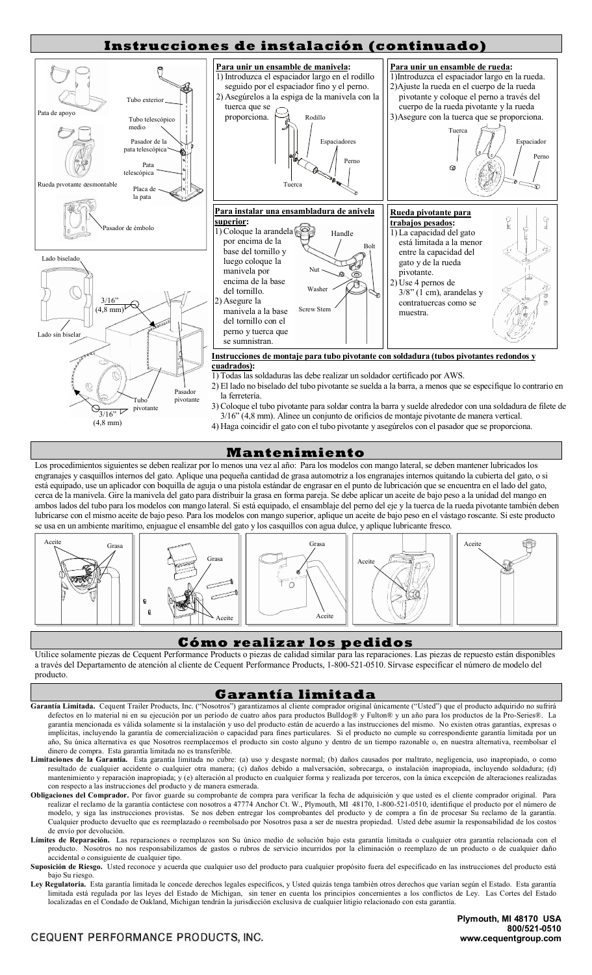

## **Mantenimiento**

Los procedimientos siguientes se deben realizar por lo menos una vez al año: Para los modelos con mango lateral, se deben mantener lubricados los engranajes y casquillos internos del gato. Aplique una pequeña cantidad de grasa automotriz a los engranajes internos quitando la cubierta del gato, o si está equipado, use un aplicador con boquilla de aguja o una pistola estándar de engrasar en el punto de lubricación que se encuentra en el lado del gato, cerca de la manivela. Gire la manivela del gato para distribuir la grasa en forma pareja. Se debe aplicar un aceite de bajo peso a la unidad del mango en ambos lados del tubo para los modelos con mango lateral. Si está equipado, el ensamblaje del perno del eje y la tuerca de la rueda pivotante también deben lubricarse con el mismo aceite de bajo peso. Para los modelos con mango superior, aplique un aceite de bajo peso en el vástago roscante. Si este producto se usa en un ambiente marítimo, enjuague el ensamble del gato y los casquillos con agua dulce, y aplique lubricante fresco.



## **Cómo realizar los pedidos**

Utilice solamente piezas de Cequent Performance Products o piezas de calidad similar para las reparaciones. Las piezas de repuesto están disponibles a través del Departamento de atención al cliente de Cequent Performance Products, 1-800-521-0510. Sírvase especificar el número de modelo del producto.

## **Garantía limitada**

- Garantía Limitada. Cequent Trailer Products, Inc. ("Nosotros") garantizamos al cliente comprador original únicamente ("Usted") que el producto adquirido no sufrirá defectos en lo material ni en su ejecución por un período de cuatro años para productos Bulldog® y Fulton® y un año para los productos de la Pro-Series®. La garantía mencionada es válida solamente si la instalación y uso del producto están de acuerdo a las instrucciones del mismo. No existen otras garantías, expresas o implícitas, incluyendo la garantía de comercialización o capacidad para fines particulares. Si el producto no cumple su correspondiente garantía limitada por un año, Su única alternativa es que Nosotros reemplacemos el producto sin costo alguno y dentro de un tiempo razonable o, en nuestra alternativa, reembolsar el dinero de compra. Esta garantía limitada no es transferible.
- **Limitaciones de la Garantía.** Esta garantía limitada no cubre: (a) uso y desgaste normal; (b) daños causados por maltrato, negligencia, uso inapropiado, o como resultado de cualquier accidente o cualquier otra manera; (c) daños debido a malversación, sobrecarga, o instalación inapropiada, incluyendo soldadura; (d) mantenimiento y reparación inapropiada; y (e) alteración al producto en cualquier forma y realizada por terceros, con la única excepción de alteraciones realizadas con respecto a las instrucciones del producto y de manera esmerada.
- **Obligaciones del Comprador.** Por favor guarde su comprobante de compra para verificar la fecha de adquisición y que usted es el cliente comprador original. Para realizar el reclamo de la garantía contáctese con nosotros a 47774 Anchor Ct. W., Plymouth, MI 48170, 1-800-521-0510, identifique el producto por el número de modelo, y siga las instrucciones provistas. Se nos deben entregar los comprobantes del producto y de compra a fin de procesar Su reclamo de la garantía. Cualquier producto devuelto que es reemplazado o reembolsado por Nosotros pasa a ser de nuestra propiedad. Usted debe asumir la responsabilidad de los costos de envío por devolución.
- Límites de Reparación. Las reparaciones o reemplazos son Su único medio de solución bajo esta garantía dimitada o cualquier otra garantía relacionada con el producto. Nosotros no nos responsabilizamos de gastos o rubros de servicio incurridos por la eliminación o reemplazo de un producto o de cualquier daño accidental o consiguiente de cualquier tipo.
- Suposición de Riesgo. Usted reconoce y acuerda que cualquier uso del producto para cualquier propósito fuera del especificado en las instrucciones del producto está bajo Su riesgo.
- Ley Regulatoria. Esta garantía limitada le concede derechos legales específicos, y Usted quizás tenga también otros derechos que varían según el Estado. Esta garantía limitada está regulada por las leyes del Estado de Michigan, sin tener en cuenta los principios concernientes a los conflictos de Ley. Las Cortes del Estado localizadas en el Condado de Oakland, Michigan tendrán la jurisdicción exclusiva de cualquier litigio relacionado con esta garantía.

## CEQUENT PERFORMANCE PRODUCTS, INC.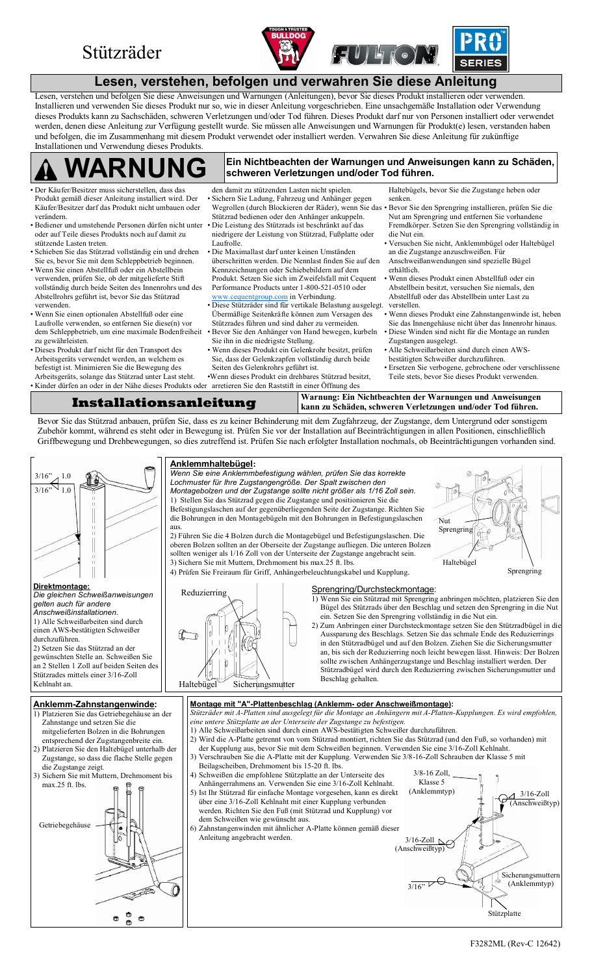## Stützräder





## **Lesen, verstehen, befolgen und verwahren Sie diese Anleitung**

Lesen, verstehen und befolgen Sie diese Anweisungen und Warnungen (Anleitungen), bevor Sie dieses Produkt installieren oder verwenden. Installieren und verwenden Sie dieses Produkt nur so, wie in dieser Anleitung vorgeschrieben. Eine unsachgemäße Installation oder Verwendung dieses Produkts kann zu Sachschäden, schweren Verletzungen und/oder Tod führen. Dieses Produkt darf nur von Personen installiert oder verwendet werden, denen diese Anleitung zur Verfügung gestellt wurde. Sie müssen alle Anweisungen und Warnungen für Produkt(e) lesen, verstanden haben und befolgen, die im Zusammenhang mit diesem Produkt verwendet oder installiert werden. Verwahren Sie diese Anleitung für zukünftige Installationen und Verwendung dieses Produkts.

#### **Ein Nichtbeachten der Warnungen und Anweisungen kann zu Schäden, schweren Verletzungen und/oder Tod führen. WARNUNG**

- Der Käufer/Besitzer muss sicherstellen, dass das Produkt gemäß dieser Anleitung installiert wird. Der Käufer/Besitzer darf das Produkt nicht umbauen oder verändern.
- Bediener und umstehende Personen dürfen nicht unter oder auf Teile dieses Produkts noch auf damit zu stützende Lasten treten.
- Schieben Sie das Stützrad vollständig ein und drehen Sie es, bevor Sie mit dem Schleppbetrieb beginnen.
- Wenn Sie einen Abstellfuß oder ein Abstellbein verwenden, prüfen Sie, ob der mitgelieferte Stift vollständig durch beide Seiten des Innenrohrs und des Abstellrohrs geführt ist, bevor Sie das Stützrad verwenden.
- Wenn Sie einen optionalen Abstellfuß oder eine Laufrolle verwenden, so entfernen Sie diese(n) vor dem Schleppbetrieb, um eine maximale Bodenfreiheit zu gewährleisten.
- Dieses Produkt darf nicht für den Transport des Arbeitsgeräts verwendet werden, an welchem es befestigt ist. Minimieren Sie die Bewegung des Arbeitsgeräts, solange das Stützrad unter Last steht.
- 
- den damit zu stützenden Lasten nicht spielen. Sichern Sie Ladung, Fahrzeug und Anhänger gegen Wegrollen (durch Blockieren der Räder), wenn Sie das Stützrad bedienen oder den Anhänger ankuppeln. Die Leistung des Stützrads ist beschränkt auf das niedrigere der Leistung von Stützrad, Fußplatte oder Laufrolle.
- Die Maximallast darf unter keinen Umständen überschritten werden. Die Nennlast finden Sie auf den Kennzeichnungen oder Schiebebildern auf dem Produkt. Setzen Sie sich im Zweifelsfall mit Cequent Performance Products unter 1-800-521-0510 oder [www.cequentgroup.com](http://www.cequentgroup.com) in Verbindung.

 Diese Stützräder sind für vertikale Belastung ausgelegt. Übermäßige Seitenkräfte können zum Versagen des Stützrades führen und sind daher zu vermeiden. Bevor Sie den Anhänger von Hand bewegen, kurbeln Sie ihn in die niedrigste Stellung.

 Wenn dieses Produkt ein Gelenkrohr besitzt, prüfen Sie, dass der Gelenkzapfen vollständig durch beide Seiten des Gelenkrohrs geführt ist.

Wenn dieses Produkt ein drehbares Stützrad besitzt,

Haltebügels, bevor Sie die Zugstange heben oder senken.

- Bevor Sie den Sprengring installieren, prüfen Sie die Nut am Sprengring und entfernen Sie vorhandene Fremdkörper. Setzen Sie den Sprengring vollständig in die Nut ein.
- Versuchen Sie nicht, Anklemmbügel oder Haltebügel an die Zugstange anzuschweißen. Für Anschweißanwendungen sind spezielle Bügel

erhältlich.

- Wenn dieses Produkt einen Abstellfuß oder ein Abstellbein besitzt, versuchen Sie niemals, den Abstellfuß oder das Abstellbein unter Last zu verstellen.
- Wenn dieses Produkt eine Zahnstangenwinde ist, heben Sie das Innengehäuse nicht über das Innenrohr hinaus.
- Diese Winden sind nicht für die Montage an runden Zugstangen ausgelegt.
- Alle Schweißarbeiten sind durch einen AWSbestätigten Schweißer durchzuführen.
- Ersetzen Sie verbogene, gebrochene oder verschlissene Teile stets, bevor Sie dieses Produkt verwenden.
- Kinder dürfen an oder in der Nähe dieses Produkts oder arretieren Sie den Raststift in einer Öffnung des **Installationsanleitung Warnung: Ein Nichtbeachten der Warnungen und Anweisungen<br>
kann zu Schäden, schweren Verletzungen und/oder Tod führen. kann zu Schäden, schweren Verletzungen und/oder Tod führen.**

Bevor Sie das Stützrad anbauen, prüfen Sie, dass es zu keiner Behinderung mit dem Zugfahrzeug, der Zugstange, dem Untergrund oder sonstigem Zubehör kommt, während es steht oder in Bewegung ist. Prüfen Sie vor der Installation auf Beeinträchtigungen in allen Positionen, einschließlich Griffbewegung und Drehbewegungen, so dies zutreffend ist. Prüfen Sie nach erfolgter Installation nochmals, ob Beeinträchtigungen vorhanden sind.